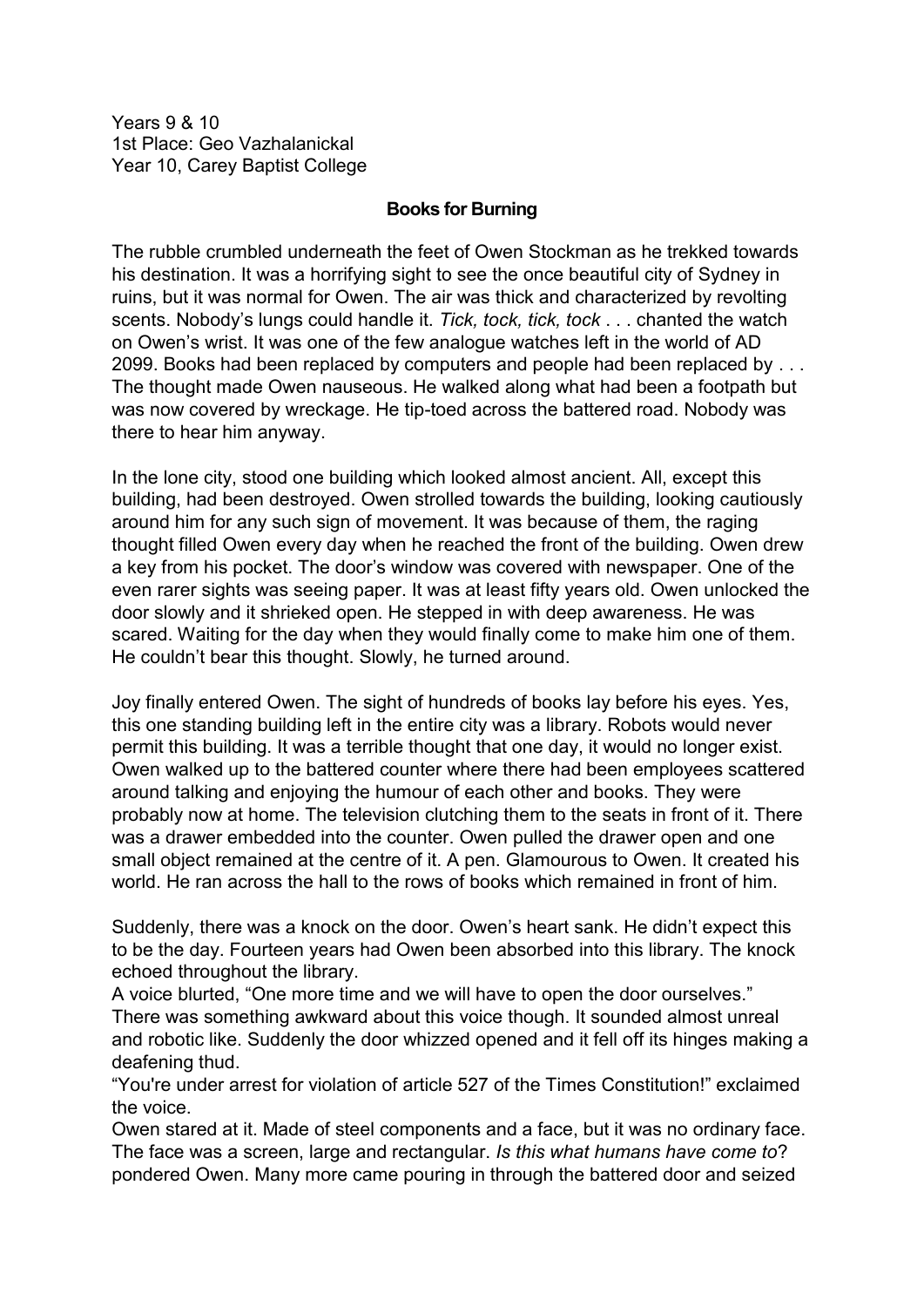Years 9 & 10 1st Place: Geo Vazhalanickal Year 10, Carey Baptist College

## **Books for Burning**

The rubble crumbled underneath the feet of Owen Stockman as he trekked towards his destination. It was a horrifying sight to see the once beautiful city of Sydney in ruins, but it was normal for Owen. The air was thick and characterized by revolting scents. Nobody's lungs could handle it. *Tick, tock, tick, tock* . . . chanted the watch on Owen's wrist. It was one of the few analogue watches left in the world of AD 2099. Books had been replaced by computers and people had been replaced by . . . The thought made Owen nauseous. He walked along what had been a footpath but was now covered by wreckage. He tip-toed across the battered road. Nobody was there to hear him anyway.

In the lone city, stood one building which looked almost ancient. All, except this building, had been destroyed. Owen strolled towards the building, looking cautiously around him for any such sign of movement. It was because of them, the raging thought filled Owen every day when he reached the front of the building. Owen drew a key from his pocket. The door's window was covered with newspaper. One of the even rarer sights was seeing paper. It was at least fifty years old. Owen unlocked the door slowly and it shrieked open. He stepped in with deep awareness. He was scared. Waiting for the day when they would finally come to make him one of them. He couldn't bear this thought. Slowly, he turned around.

Joy finally entered Owen. The sight of hundreds of books lay before his eyes. Yes, this one standing building left in the entire city was a library. Robots would never permit this building. It was a terrible thought that one day, it would no longer exist. Owen walked up to the battered counter where there had been employees scattered around talking and enjoying the humour of each other and books. They were probably now at home. The television clutching them to the seats in front of it. There was a drawer embedded into the counter. Owen pulled the drawer open and one small object remained at the centre of it. A pen. Glamourous to Owen. It created his world. He ran across the hall to the rows of books which remained in front of him.

Suddenly, there was a knock on the door. Owen's heart sank. He didn't expect this to be the day. Fourteen years had Owen been absorbed into this library. The knock echoed throughout the library.

A voice blurted, "One more time and we will have to open the door ourselves." There was something awkward about this voice though. It sounded almost unreal and robotic like. Suddenly the door whizzed opened and it fell off its hinges making a deafening thud.

"You're under arrest for violation of article 527 of the Times Constitution!" exclaimed the voice.

Owen stared at it. Made of steel components and a face, but it was no ordinary face. The face was a screen, large and rectangular. *Is this what humans have come to*? pondered Owen. Many more came pouring in through the battered door and seized